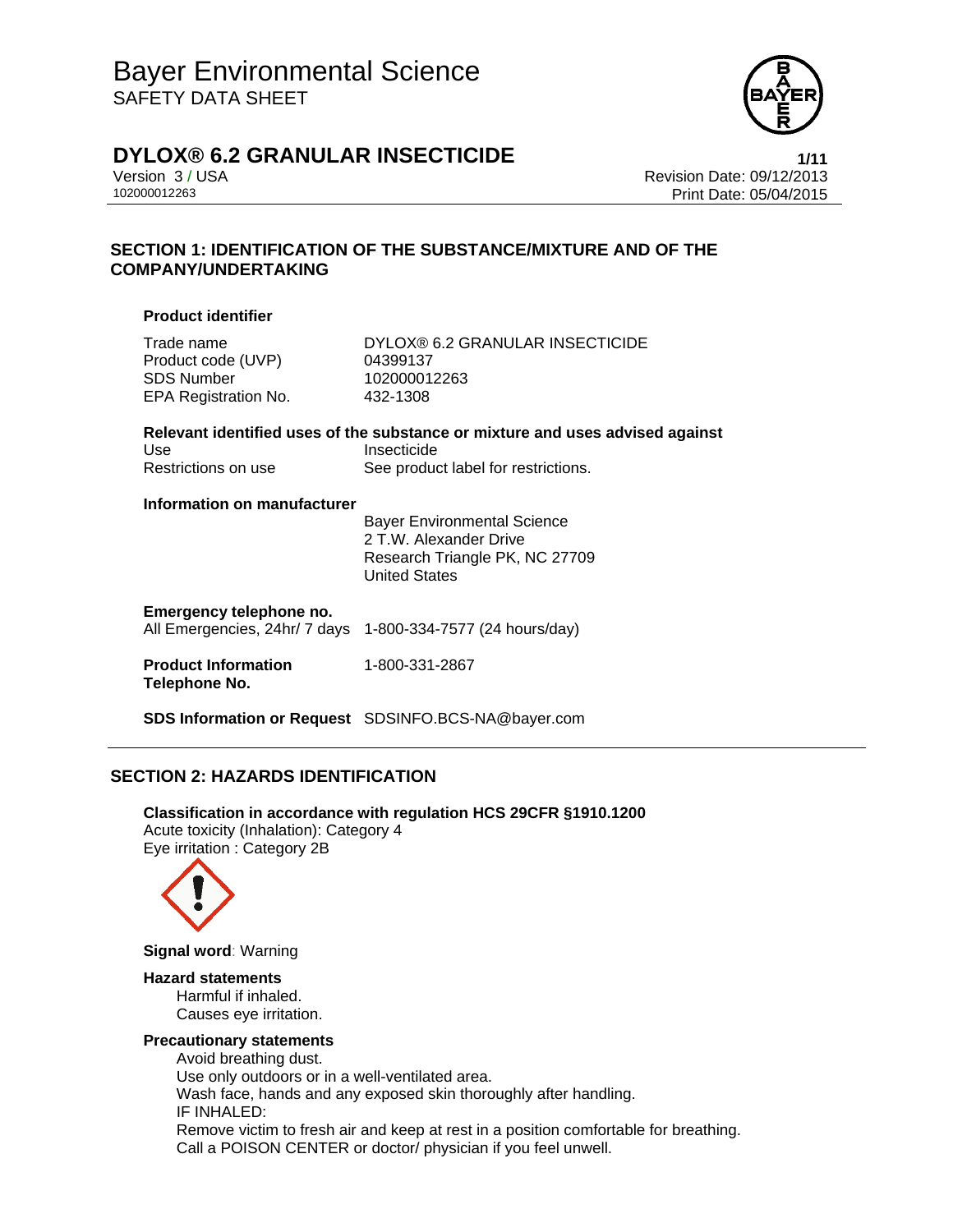

## **DYLOX® 6.2 GRANULAR INSECTICIDE 1/11**

Version 3 / USA Revision Date: 09/12/2013 102000012263 Print Date: 05/04/2015

## **SECTION 1: IDENTIFICATION OF THE SUBSTANCE/MIXTURE AND OF THE COMPANY/UNDERTAKING**

#### **Product identifier**

Product code (UVP) 04399137 SDS Number 102000012263 EPA Registration No. 432-1308

Trade name DYLOX® 6.2 GRANULAR INSECTICIDE

|                     | Relevant identified uses of the substance or mixture and uses advised against |
|---------------------|-------------------------------------------------------------------------------|
| Use                 | Insecticide                                                                   |
| Restrictions on use | See product label for restrictions.                                           |

#### **Information on manufacturer**

 Bayer Environmental Science 2 T.W. Alexander Drive Research Triangle PK, NC 27709 United States

## **Emergency telephone no.**

All Emergencies, 24hr/ 7 days 1-800-334-7577 (24 hours/day)

#### **Product Information Telephone No.**  1-800-331-2867

**SDS Information or Request** SDSINFO.BCS-NA@bayer.com

## **SECTION 2: HAZARDS IDENTIFICATION**

**Classification in accordance with regulation HCS 29CFR §1910.1200**  Acute toxicity (Inhalation): Category 4 Eye irritation : Category 2B



**Signal word**: Warning

#### **Hazard statements**

Harmful if inhaled. Causes eye irritation.

### **Precautionary statements**

Avoid breathing dust. Use only outdoors or in a well-ventilated area. Wash face, hands and any exposed skin thoroughly after handling. IF INHALED: Remove victim to fresh air and keep at rest in a position comfortable for breathing. Call a POISON CENTER or doctor/ physician if you feel unwell.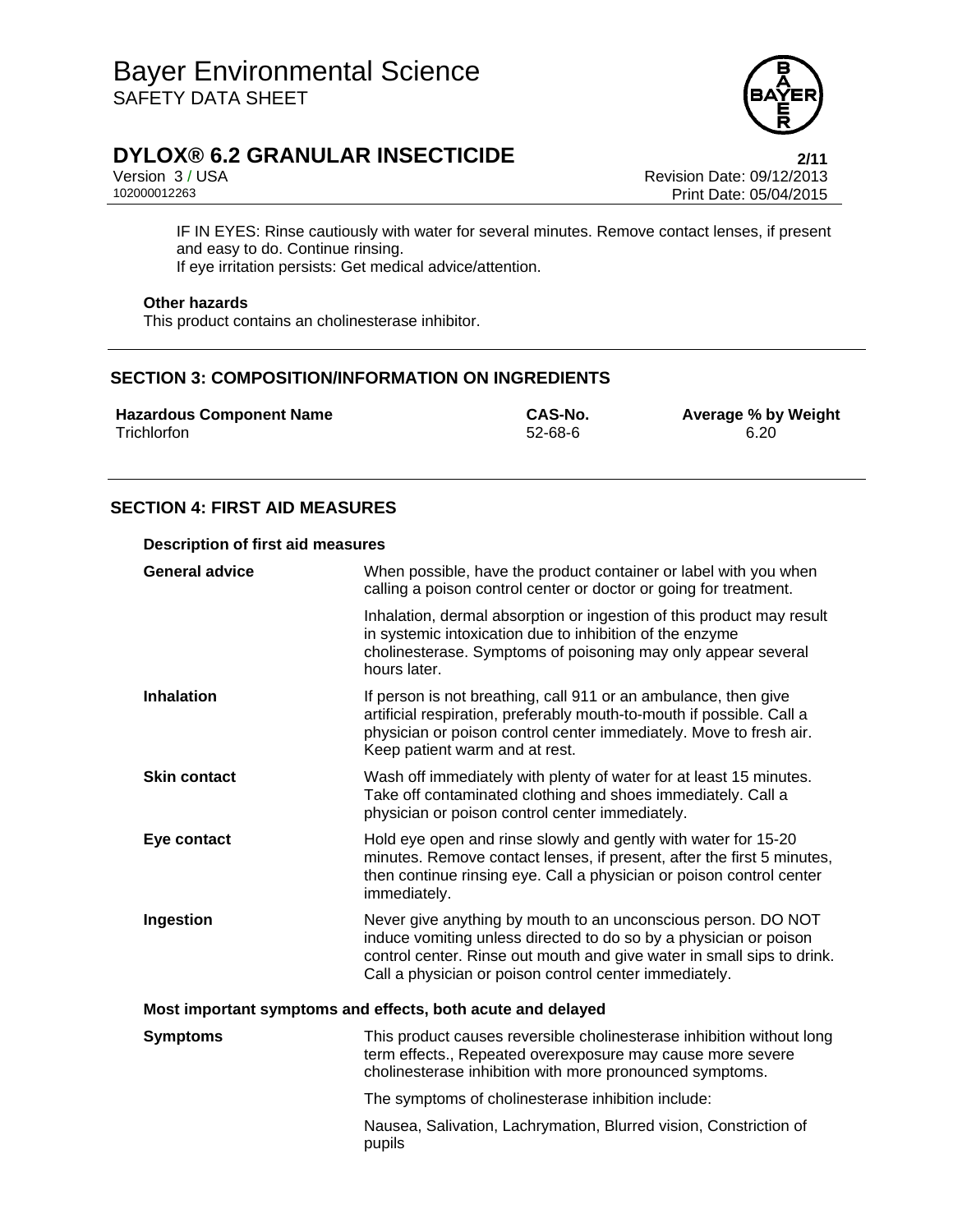

Version 3 / USA Revision Date: 09/12/2013 Print Date: 05/04/2015

IF IN EYES: Rinse cautiously with water for several minutes. Remove contact lenses, if present and easy to do. Continue rinsing. If eye irritation persists: Get medical advice/attention.

## **Other hazards**

This product contains an cholinesterase inhibitor.

## **SECTION 3: COMPOSITION/INFORMATION ON INGREDIENTS**

**Hazardous Component Name CAS-No. Average % by Weight Trichlorfon CAS-No. Average % by Weight Trichlorfon 6.20** Trichlorfon 52-68-6 6.20

## **SECTION 4: FIRST AID MEASURES**

#### **Description of first aid measures**

| <b>General advice</b>                                       | When possible, have the product container or label with you when<br>calling a poison control center or doctor or going for treatment.                                                                                                                                  |  |
|-------------------------------------------------------------|------------------------------------------------------------------------------------------------------------------------------------------------------------------------------------------------------------------------------------------------------------------------|--|
|                                                             | Inhalation, dermal absorption or ingestion of this product may result<br>in systemic intoxication due to inhibition of the enzyme<br>cholinesterase. Symptoms of poisoning may only appear several<br>hours later.                                                     |  |
| <b>Inhalation</b>                                           | If person is not breathing, call 911 or an ambulance, then give<br>artificial respiration, preferably mouth-to-mouth if possible. Call a<br>physician or poison control center immediately. Move to fresh air.<br>Keep patient warm and at rest.                       |  |
| <b>Skin contact</b>                                         | Wash off immediately with plenty of water for at least 15 minutes.<br>Take off contaminated clothing and shoes immediately. Call a<br>physician or poison control center immediately.                                                                                  |  |
| Eye contact                                                 | Hold eye open and rinse slowly and gently with water for 15-20<br>minutes. Remove contact lenses, if present, after the first 5 minutes,<br>then continue rinsing eye. Call a physician or poison control center<br>immediately.                                       |  |
| Ingestion                                                   | Never give anything by mouth to an unconscious person. DO NOT<br>induce vomiting unless directed to do so by a physician or poison<br>control center. Rinse out mouth and give water in small sips to drink.<br>Call a physician or poison control center immediately. |  |
| Most important symptoms and effects, both acute and delayed |                                                                                                                                                                                                                                                                        |  |
| <b>Symptoms</b>                                             | This product causes reversible cholinesterase inhibition without long<br>term effects., Repeated overexposure may cause more severe<br>cholinesterase inhibition with more pronounced symptoms.                                                                        |  |
|                                                             | The symptoms of cholinesterase inhibition include:                                                                                                                                                                                                                     |  |
|                                                             | Nausea, Salivation, Lachrymation, Blurred vision, Constriction of<br>pupils                                                                                                                                                                                            |  |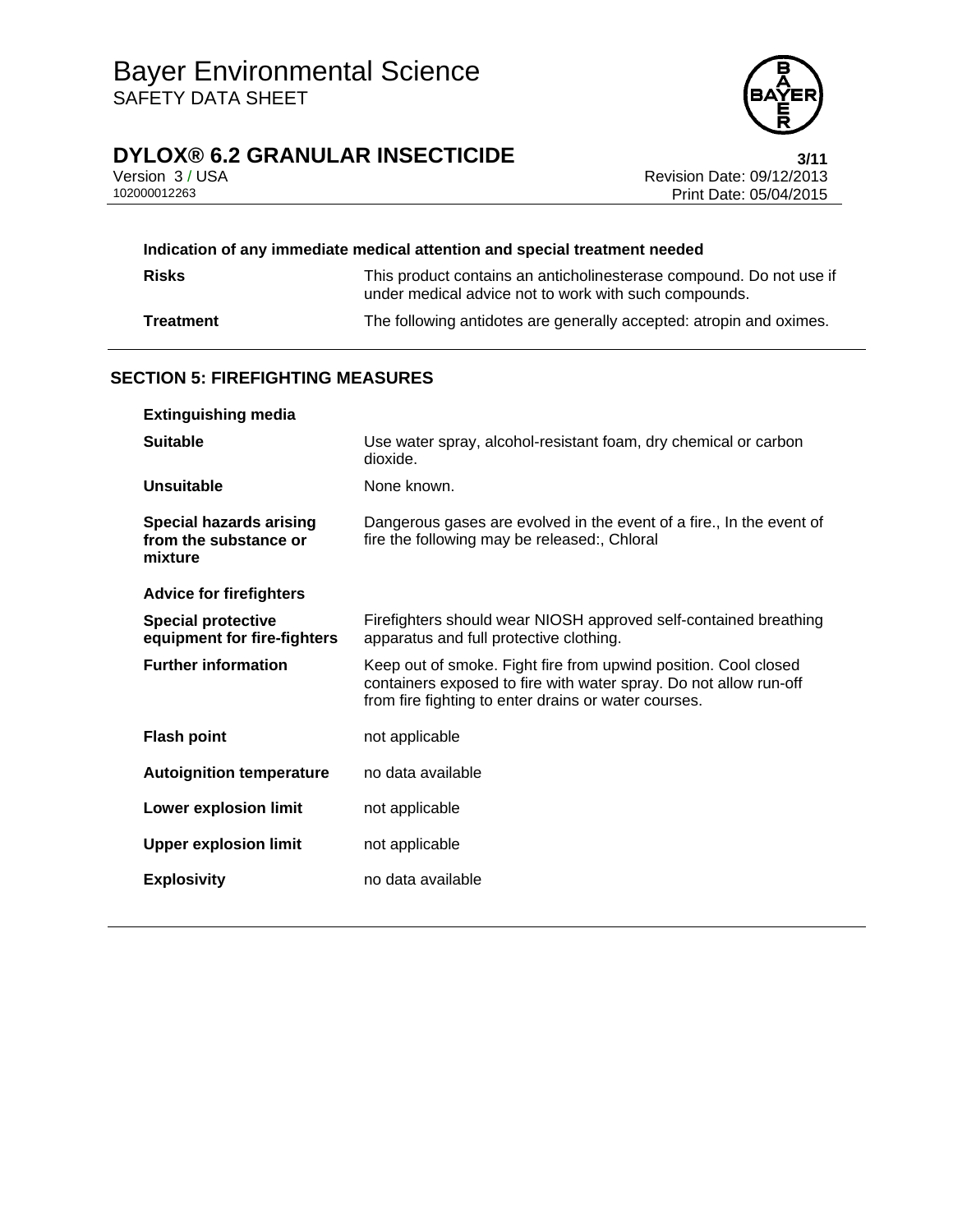

Version 3 / USA **Version 3 / USA Revision Date: 09/12/2013**<br>102000012263 **Print Date: 05/04/2015** Print Date: 05/04/2015

| Indication of any immediate medical attention and special treatment needed |                                                                                                                              |  |
|----------------------------------------------------------------------------|------------------------------------------------------------------------------------------------------------------------------|--|
| <b>Risks</b>                                                               | This product contains an anticholinesterase compound. Do not use if<br>under medical advice not to work with such compounds. |  |
| <b>Treatment</b>                                                           | The following antidotes are generally accepted: atropin and oximes.                                                          |  |

## **SECTION 5: FIREFIGHTING MEASURES**

| <b>Extinguishing media</b>                                         |                                                                                                                                                                                              |
|--------------------------------------------------------------------|----------------------------------------------------------------------------------------------------------------------------------------------------------------------------------------------|
| <b>Suitable</b>                                                    | Use water spray, alcohol-resistant foam, dry chemical or carbon<br>dioxide.                                                                                                                  |
| Unsuitable                                                         | None known.                                                                                                                                                                                  |
| <b>Special hazards arising</b><br>from the substance or<br>mixture | Dangerous gases are evolved in the event of a fire., In the event of<br>fire the following may be released:, Chloral                                                                         |
| <b>Advice for firefighters</b>                                     |                                                                                                                                                                                              |
| <b>Special protective</b><br>equipment for fire-fighters           | Firefighters should wear NIOSH approved self-contained breathing<br>apparatus and full protective clothing.                                                                                  |
| <b>Further information</b>                                         | Keep out of smoke. Fight fire from upwind position. Cool closed<br>containers exposed to fire with water spray. Do not allow run-off<br>from fire fighting to enter drains or water courses. |
| <b>Flash point</b>                                                 | not applicable                                                                                                                                                                               |
| <b>Autoignition temperature</b>                                    | no data available                                                                                                                                                                            |
| Lower explosion limit                                              | not applicable                                                                                                                                                                               |
| <b>Upper explosion limit</b>                                       | not applicable                                                                                                                                                                               |
| <b>Explosivity</b>                                                 | no data available                                                                                                                                                                            |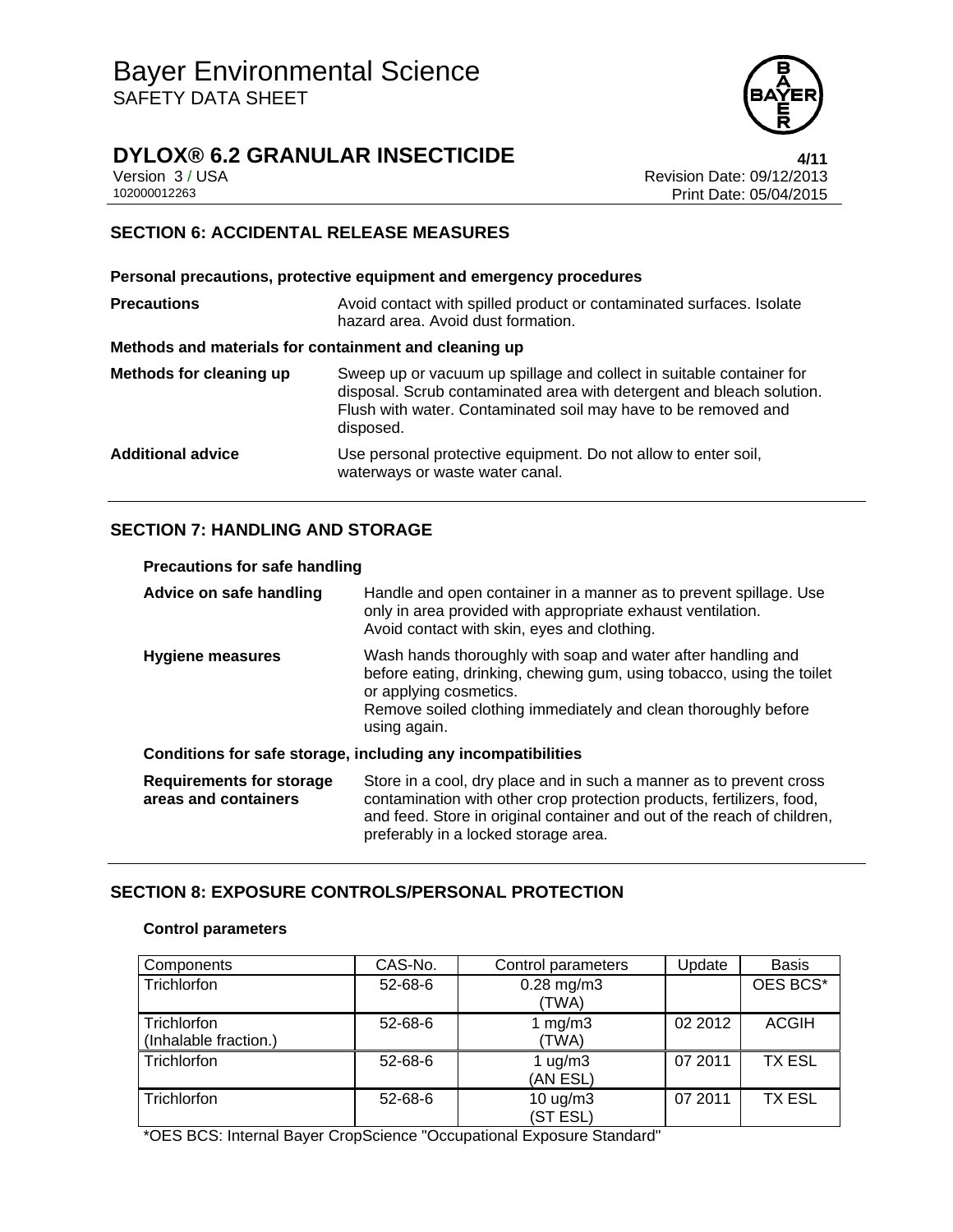

## **DYLOX® 6.2 GRANULAR INSECTICIDE 4/11**

Version 3 / USA Revision Date: 09/12/2013 Print Date: 05/04/2015

## **SECTION 6: ACCIDENTAL RELEASE MEASURES**

**Personal precautions, protective equipment and emergency procedures Precautions Avoid contact with spilled product or contaminated surfaces. Isolate** hazard area. Avoid dust formation. **Methods and materials for containment and cleaning up Methods for cleaning up** Sweep up or vacuum up spillage and collect in suitable container for disposal. Scrub contaminated area with detergent and bleach solution. Flush with water. Contaminated soil may have to be removed and disposed. **Additional advice** Use personal protective equipment. Do not allow to enter soil, waterways or waste water canal.

## **SECTION 7: HANDLING AND STORAGE**

#### **Precautions for safe handling**

| Advice on safe handling                                 | Handle and open container in a manner as to prevent spillage. Use<br>only in area provided with appropriate exhaust ventilation.<br>Avoid contact with skin, eyes and clothing.                                                                                 |
|---------------------------------------------------------|-----------------------------------------------------------------------------------------------------------------------------------------------------------------------------------------------------------------------------------------------------------------|
| <b>Hygiene measures</b>                                 | Wash hands thoroughly with soap and water after handling and<br>before eating, drinking, chewing gum, using tobacco, using the toilet<br>or applying cosmetics.<br>Remove soiled clothing immediately and clean thoroughly before<br>using again.               |
|                                                         | Conditions for safe storage, including any incompatibilities                                                                                                                                                                                                    |
| <b>Requirements for storage</b><br>areas and containers | Store in a cool, dry place and in such a manner as to prevent cross<br>contamination with other crop protection products, fertilizers, food,<br>and feed. Store in original container and out of the reach of children,<br>preferably in a locked storage area. |

### **SECTION 8: EXPOSURE CONTROLS/PERSONAL PROTECTION**

#### **Control parameters**

| Components                           | CAS-No.       | Control parameters           | Update  | <b>Basis</b>  |
|--------------------------------------|---------------|------------------------------|---------|---------------|
| Trichlorfon                          | 52-68-6       | $0.28$ mg/m $3$<br>(TWA)     |         | OES BCS*      |
| Trichlorfon<br>(Inhalable fraction.) | 52-68-6       | 1 $mg/m3$<br>(TWA)           | 02 2012 | <b>ACGIH</b>  |
| Trichlorfon                          | $52 - 68 - 6$ | 1 $\mu$ g/m $3$<br>(AN ESL)  | 07 2011 | <b>TX ESL</b> |
| Trichlorfon                          | $52 - 68 - 6$ | 10 $\mu$ g/m $3$<br>(ST ESL) | 07 2011 | <b>TX ESL</b> |

\*OES BCS: Internal Bayer CropScience "Occupational Exposure Standard"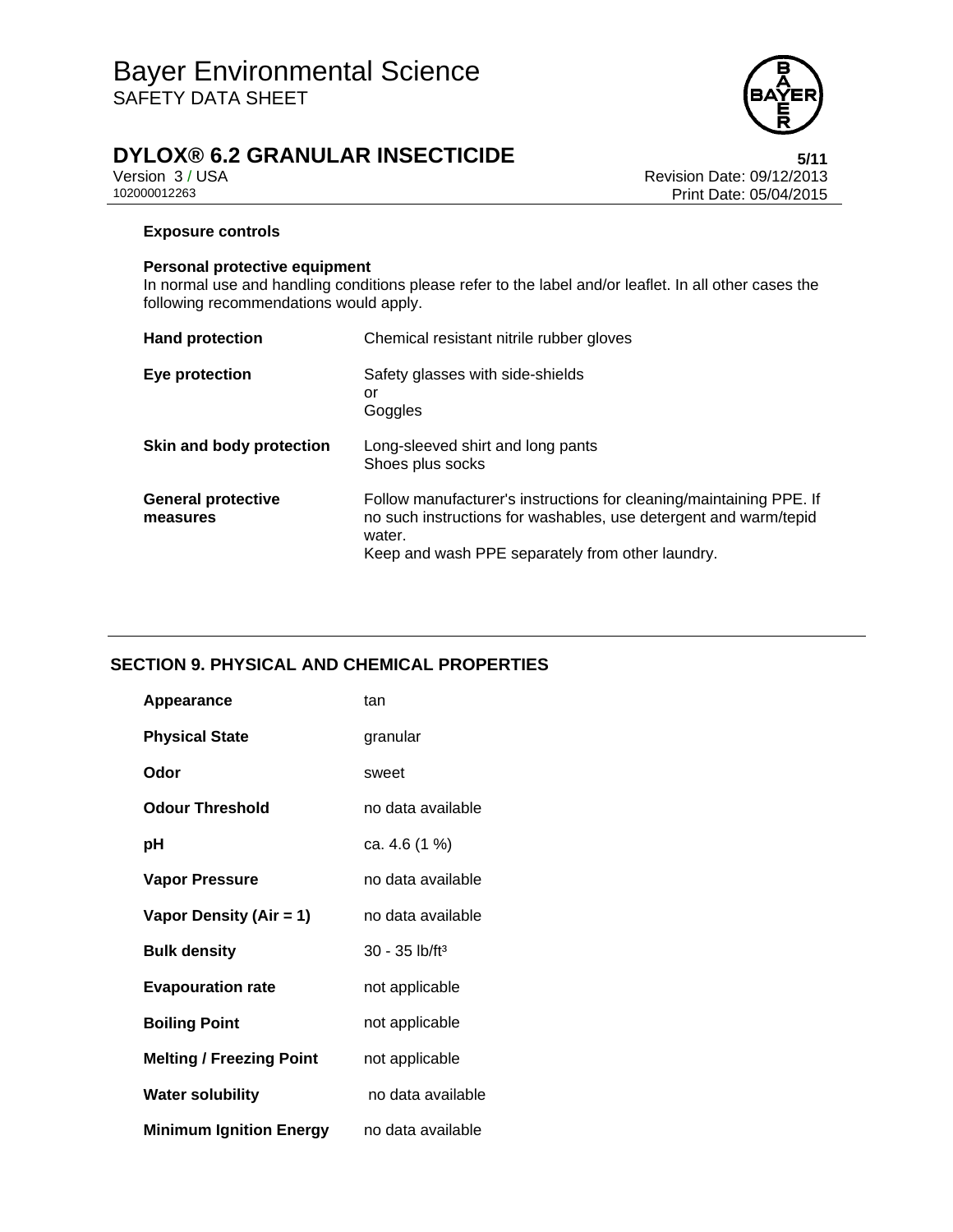

Version 3 / USA **Version 3 / USA Revision Date: 09/12/2013**<br>102000012263 **Print Date: 05/04/2015** Print Date: 05/04/2015

### **Exposure controls**

#### **Personal protective equipment**

In normal use and handling conditions please refer to the label and/or leaflet. In all other cases the following recommendations would apply.

| <b>Hand protection</b>                | Chemical resistant nitrile rubber gloves                                                                                                                                                              |
|---------------------------------------|-------------------------------------------------------------------------------------------------------------------------------------------------------------------------------------------------------|
| Eye protection                        | Safety glasses with side-shields<br>or<br>Goggles                                                                                                                                                     |
| Skin and body protection              | Long-sleeved shirt and long pants<br>Shoes plus socks                                                                                                                                                 |
| <b>General protective</b><br>measures | Follow manufacturer's instructions for cleaning/maintaining PPE. If<br>no such instructions for washables, use detergent and warm/tepid<br>water.<br>Keep and wash PPE separately from other laundry. |

## **SECTION 9. PHYSICAL AND CHEMICAL PROPERTIES**

| Appearance                      | tan                        |
|---------------------------------|----------------------------|
| <b>Physical State</b>           | granular                   |
| Odor                            | sweet                      |
| Odour Threshold                 | no data available          |
| рH                              | ca. 4.6 (1 %)              |
| <b>Vapor Pressure</b>           | no data available          |
| Vapor Density (Air = 1)         | no data available          |
| <b>Bulk density</b>             | 30 - 35 lb/ft <sup>3</sup> |
| <b>Evapouration rate</b>        | not applicable             |
| <b>Boiling Point</b>            | not applicable             |
| <b>Melting / Freezing Point</b> | not applicable             |
| <b>Water solubility</b>         | no data available          |
| <b>Minimum Ignition Energy</b>  | no data available          |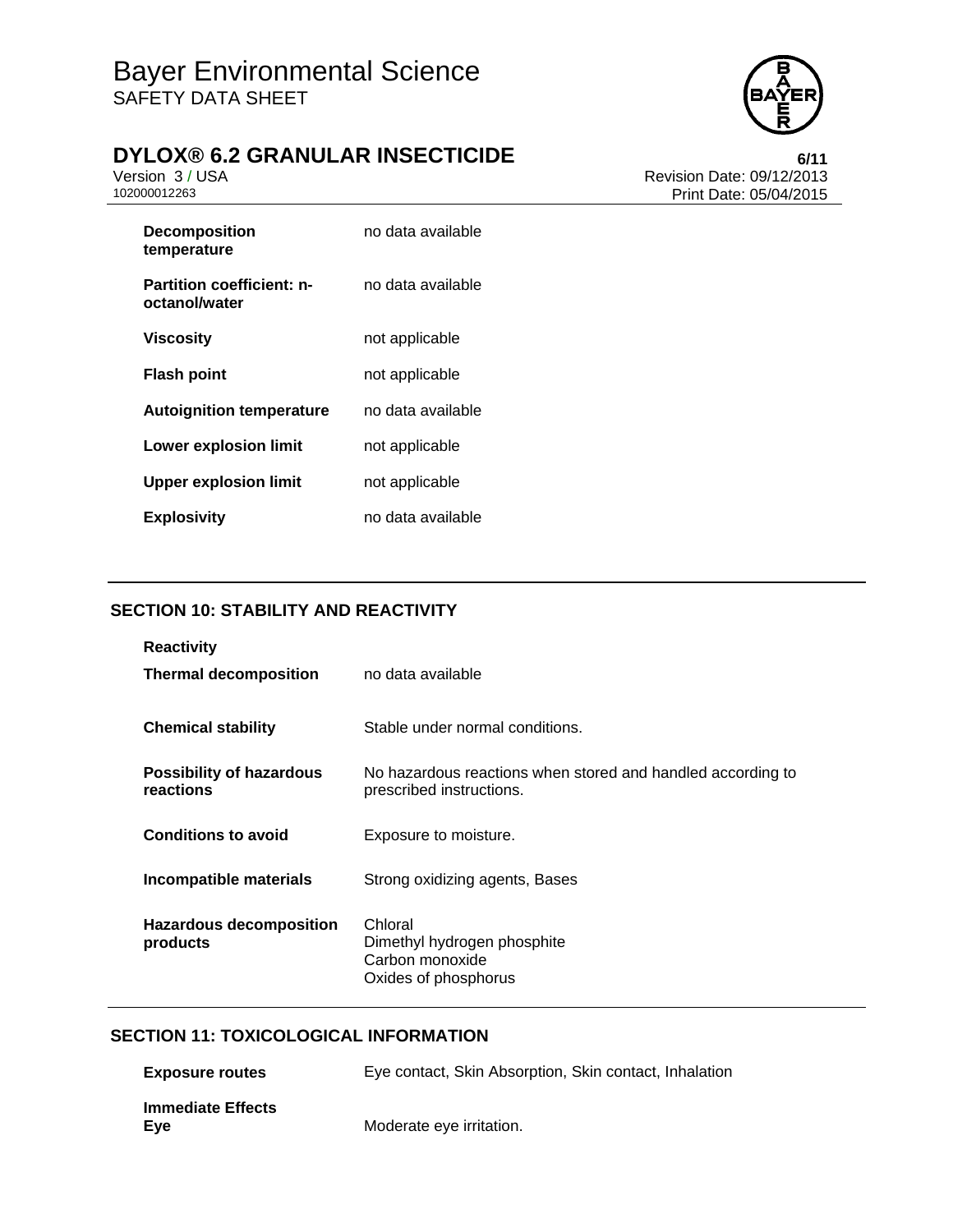

Version 3 / USA **Version 3 / USA Revision Date: 09/12/2013**<br>102000012263 **Print Date: 05/04/2015** Print Date: 05/04/2015

| <b>Decomposition</b><br>temperature               | no data available |
|---------------------------------------------------|-------------------|
| <b>Partition coefficient: n-</b><br>octanol/water | no data available |
| Viscosity                                         | not applicable    |
| <b>Flash point</b>                                | not applicable    |
| <b>Autoignition temperature</b>                   | no data available |
| Lower explosion limit                             | not applicable    |
| <b>Upper explosion limit</b>                      | not applicable    |
| <b>Explosivity</b>                                | no data available |

## **SECTION 10: STABILITY AND REACTIVITY**

| <b>Reactivity</b><br><b>Thermal decomposition</b> | no data available                                                                       |
|---------------------------------------------------|-----------------------------------------------------------------------------------------|
| <b>Chemical stability</b>                         | Stable under normal conditions.                                                         |
| <b>Possibility of hazardous</b><br>reactions      | No hazardous reactions when stored and handled according to<br>prescribed instructions. |
| <b>Conditions to avoid</b>                        | Exposure to moisture.                                                                   |
| Incompatible materials                            | Strong oxidizing agents, Bases                                                          |
| <b>Hazardous decomposition</b><br>products        | Chloral<br>Dimethyl hydrogen phosphite<br>Carbon monoxide<br>Oxides of phosphorus       |

## **SECTION 11: TOXICOLOGICAL INFORMATION**

| <b>Exposure routes</b>          | Eye contact, Skin Absorption, Skin contact, Inhalation |
|---------------------------------|--------------------------------------------------------|
| <b>Immediate Effects</b><br>Eve | Moderate eye irritation.                               |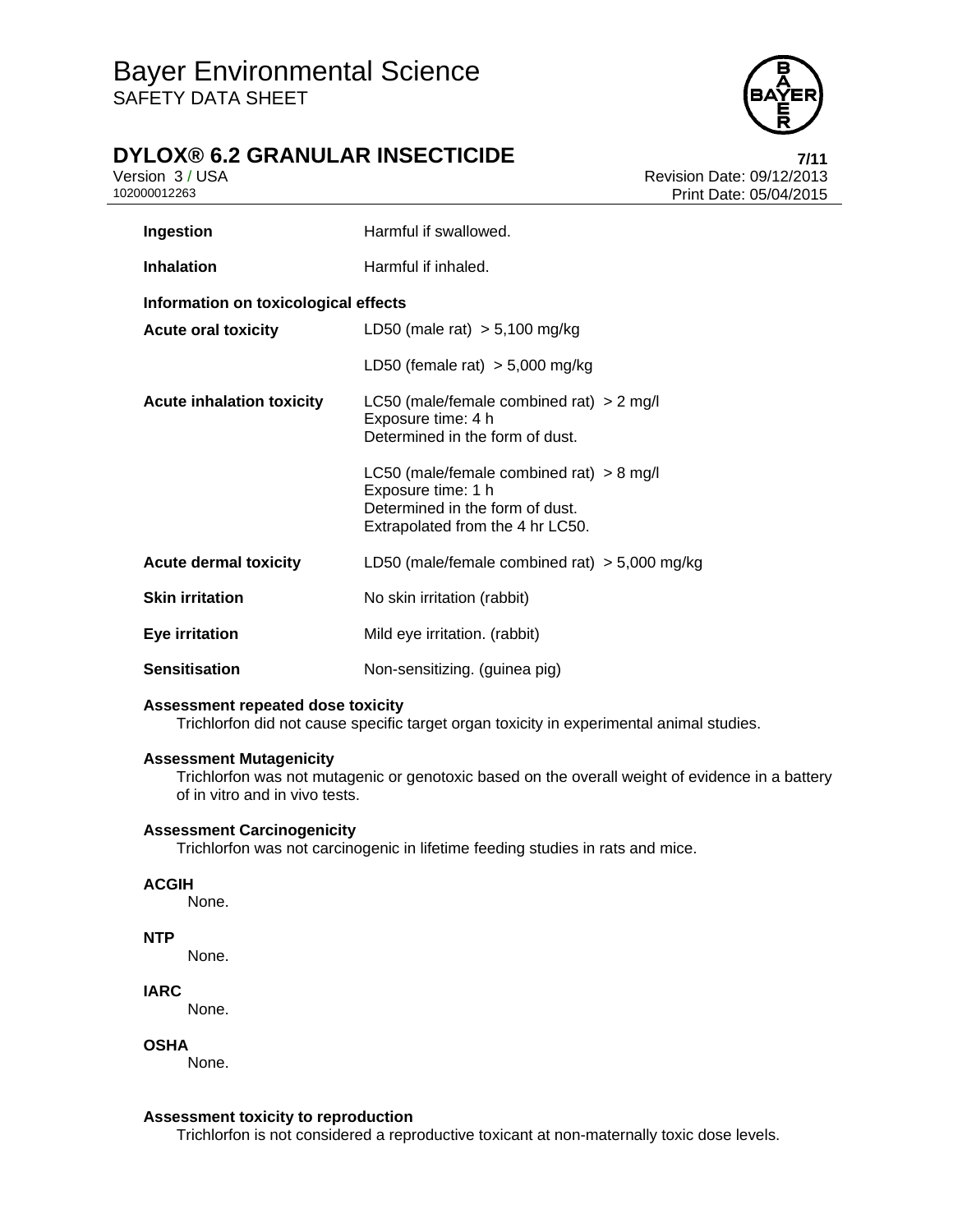

## **DYLOX® 6.2 GRANULAR INSECTICIDE 7/11**

Version 3 / USA **Version 3 / USA Revision Date: 09/12/2013**<br>102000012263 **Print Date: 05/04/2015** Print Date: 05/04/2015

| Ingestion                            | Harmful if swallowed.                                                                                                                   |
|--------------------------------------|-----------------------------------------------------------------------------------------------------------------------------------------|
| <b>Inhalation</b>                    | Harmful if inhaled.                                                                                                                     |
| Information on toxicological effects |                                                                                                                                         |
| <b>Acute oral toxicity</b>           | LD50 (male rat) $> 5,100$ mg/kg                                                                                                         |
|                                      | LD50 (female rat) $>$ 5,000 mg/kg                                                                                                       |
| <b>Acute inhalation toxicity</b>     | LC50 (male/female combined rat) $> 2$ mg/l<br>Exposure time: 4 h<br>Determined in the form of dust.                                     |
|                                      | LC50 (male/female combined rat) $> 8$ mg/l<br>Exposure time: 1 h<br>Determined in the form of dust.<br>Extrapolated from the 4 hr LC50. |
| <b>Acute dermal toxicity</b>         | LD50 (male/female combined rat) $>$ 5,000 mg/kg                                                                                         |
| <b>Skin irritation</b>               | No skin irritation (rabbit)                                                                                                             |
| Eye irritation                       | Mild eye irritation. (rabbit)                                                                                                           |
| <b>Sensitisation</b>                 | Non-sensitizing. (guinea pig)                                                                                                           |

### **Assessment repeated dose toxicity**

Trichlorfon did not cause specific target organ toxicity in experimental animal studies.

#### **Assessment Mutagenicity**

Trichlorfon was not mutagenic or genotoxic based on the overall weight of evidence in a battery of in vitro and in vivo tests.

#### **Assessment Carcinogenicity**

Trichlorfon was not carcinogenic in lifetime feeding studies in rats and mice.

#### **ACGIH**

None.

#### **NTP**

None.

#### **IARC**

None.

#### **OSHA**

None.

#### **Assessment toxicity to reproduction**

Trichlorfon is not considered a reproductive toxicant at non-maternally toxic dose levels.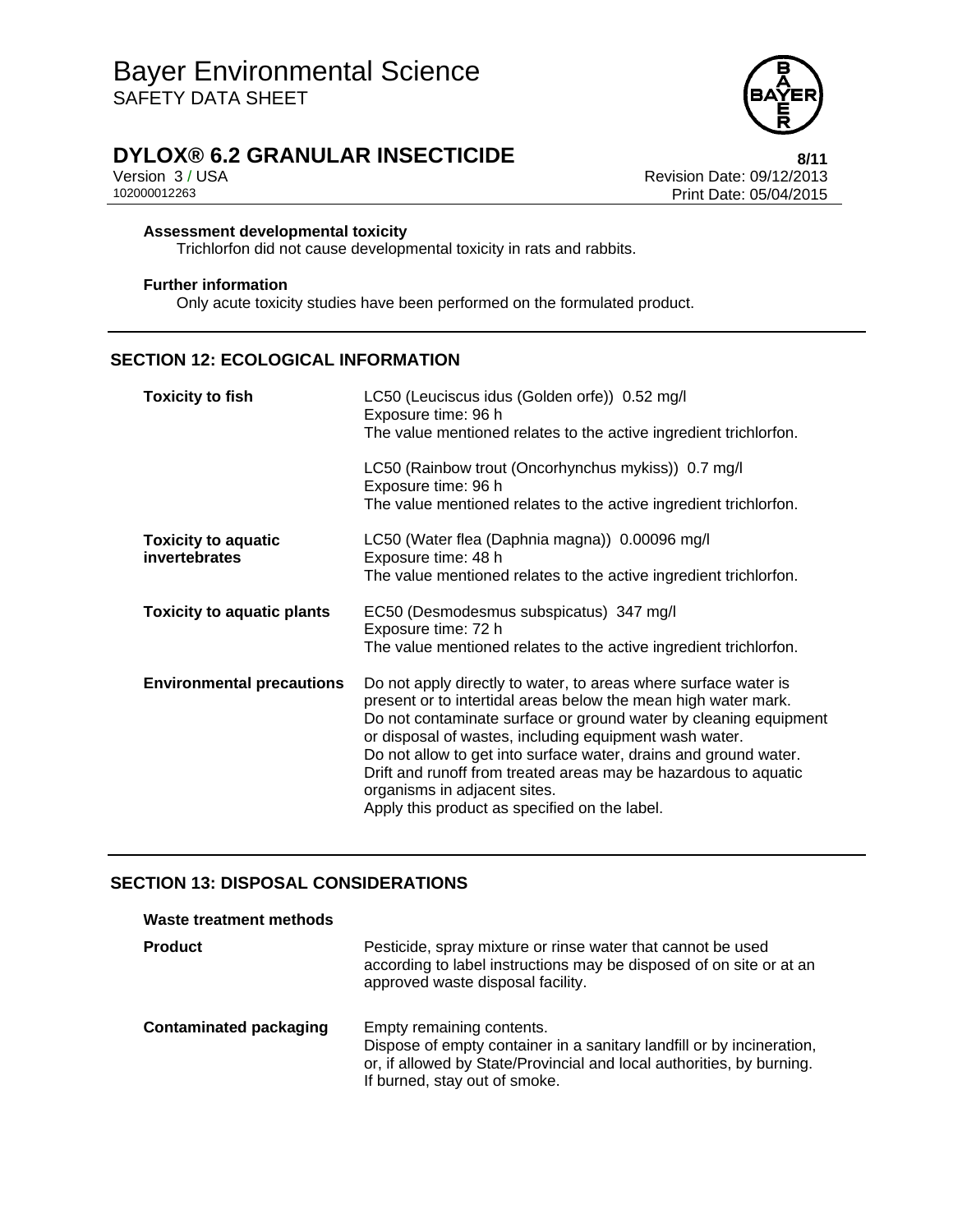

Version 3 / USA **Version 3 / USA Revision Date: 09/12/2013**<br>102000012263 **Print Date: 05/04/2015** Print Date: 05/04/2015

#### **Assessment developmental toxicity**

Trichlorfon did not cause developmental toxicity in rats and rabbits.

#### **Further information**

Only acute toxicity studies have been performed on the formulated product.

## **SECTION 12: ECOLOGICAL INFORMATION**

| <b>Toxicity to fish</b>                     | LC50 (Leuciscus idus (Golden orfe)) 0.52 mg/l<br>Exposure time: 96 h<br>The value mentioned relates to the active ingredient trichlorfon.<br>LC50 (Rainbow trout (Oncorhynchus mykiss)) 0.7 mg/l                                                                                                                                                                                                                                                                                        |
|---------------------------------------------|-----------------------------------------------------------------------------------------------------------------------------------------------------------------------------------------------------------------------------------------------------------------------------------------------------------------------------------------------------------------------------------------------------------------------------------------------------------------------------------------|
|                                             | Exposure time: 96 h<br>The value mentioned relates to the active ingredient trichlorfon.                                                                                                                                                                                                                                                                                                                                                                                                |
| <b>Toxicity to aquatic</b><br>invertebrates | LC50 (Water flea (Daphnia magna)) 0.00096 mg/l<br>Exposure time: 48 h<br>The value mentioned relates to the active ingredient trichlorfon.                                                                                                                                                                                                                                                                                                                                              |
| <b>Toxicity to aquatic plants</b>           | EC50 (Desmodesmus subspicatus) 347 mg/l<br>Exposure time: 72 h<br>The value mentioned relates to the active ingredient trichlorfon.                                                                                                                                                                                                                                                                                                                                                     |
| <b>Environmental precautions</b>            | Do not apply directly to water, to areas where surface water is<br>present or to intertidal areas below the mean high water mark.<br>Do not contaminate surface or ground water by cleaning equipment<br>or disposal of wastes, including equipment wash water.<br>Do not allow to get into surface water, drains and ground water.<br>Drift and runoff from treated areas may be hazardous to aquatic<br>organisms in adjacent sites.<br>Apply this product as specified on the label. |

### **SECTION 13: DISPOSAL CONSIDERATIONS**

| Waste treatment methods       |                                                                                                                                                                                                              |
|-------------------------------|--------------------------------------------------------------------------------------------------------------------------------------------------------------------------------------------------------------|
| <b>Product</b>                | Pesticide, spray mixture or rinse water that cannot be used<br>according to label instructions may be disposed of on site or at an<br>approved waste disposal facility.                                      |
| <b>Contaminated packaging</b> | Empty remaining contents.<br>Dispose of empty container in a sanitary landfill or by incineration,<br>or, if allowed by State/Provincial and local authorities, by burning.<br>If burned, stay out of smoke. |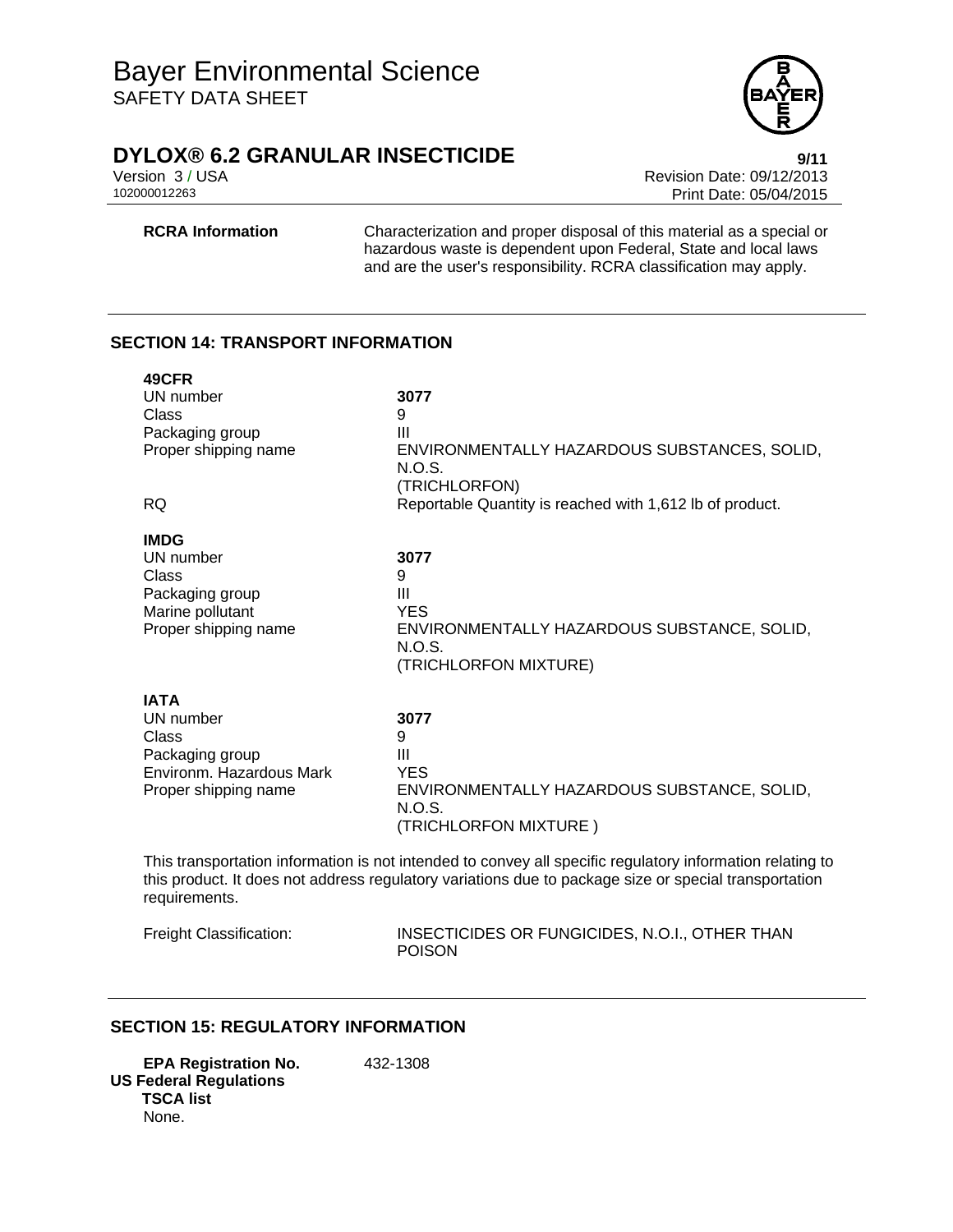

Version 3 / USA **Version 3 / USA Revision Date: 09/12/2013**<br>102000012263 **Print Date: 05/04/2015** Print Date: 05/04/2015

**RCRA Information** Characterization and proper disposal of this material as a special or hazardous waste is dependent upon Federal, State and local laws and are the user's responsibility. RCRA classification may apply.

## **SECTION 14: TRANSPORT INFORMATION**

| 49CFR<br>UN number<br>Class<br>Packaging group<br>Proper shipping name<br><b>RQ</b>                      | 3077<br>9<br>III<br>ENVIRONMENTALLY HAZARDOUS SUBSTANCES, SOLID,<br>N.O.S.<br>(TRICHLORFON)<br>Reportable Quantity is reached with 1,612 lb of product.                                                            |
|----------------------------------------------------------------------------------------------------------|--------------------------------------------------------------------------------------------------------------------------------------------------------------------------------------------------------------------|
| <b>IMDG</b><br>UN number<br>Class<br>Packaging group<br>Marine pollutant<br>Proper shipping name         | 3077<br>9<br>Ш<br><b>YES</b><br>ENVIRONMENTALLY HAZARDOUS SUBSTANCE, SOLID,<br>N.O.S.<br>(TRICHLORFON MIXTURE)                                                                                                     |
| <b>IATA</b><br>UN number<br>Class<br>Packaging group<br>Environm. Hazardous Mark<br>Proper shipping name | 3077<br>9<br>Ш<br><b>YES</b><br>ENVIRONMENTALLY HAZARDOUS SUBSTANCE, SOLID,<br>N.O.S.<br>(TRICHLORFON MIXTURE)                                                                                                     |
|                                                                                                          | This transportation information is not intended to convey all specific regulatory information relating to<br>this product. It does not address regulatory variations due to package size or special transportation |

requirements.

Freight Classification: INSECTICIDES OR FUNGICIDES, N.O.I., OTHER THAN POISON

## **SECTION 15: REGULATORY INFORMATION**

**EPA Registration No.** 432-1308 **US Federal Regulations TSCA list** None.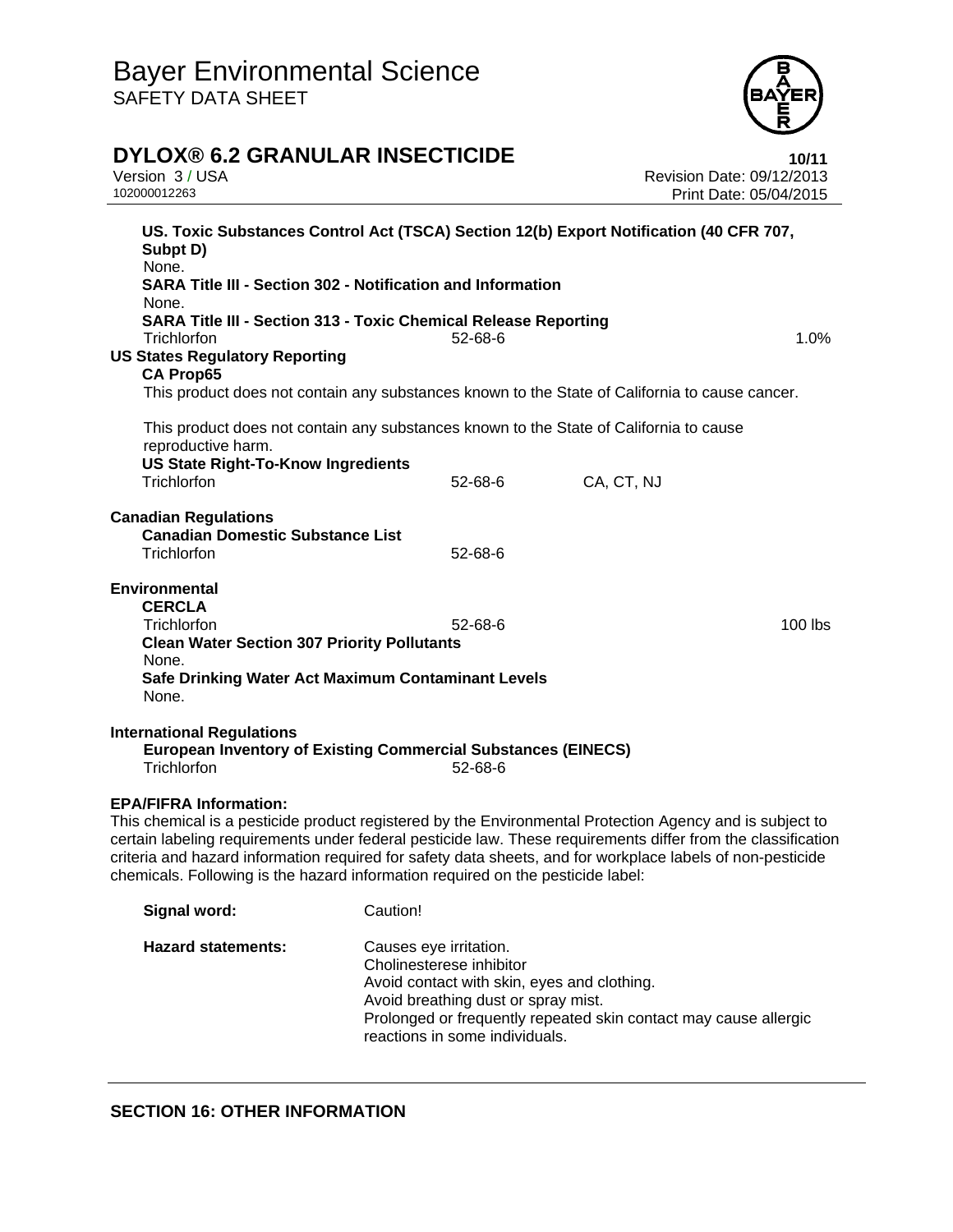

## **DYLOX® 6.2 GRANULAR INSECTICIDE** 10/11

| Version 3 / USA<br>102000012263                                                                                                                                                                                                                                                                                                                                                                                                                            |               | Revision Date: 09/12/2013<br>Print Date: 05/04/2015 |           |
|------------------------------------------------------------------------------------------------------------------------------------------------------------------------------------------------------------------------------------------------------------------------------------------------------------------------------------------------------------------------------------------------------------------------------------------------------------|---------------|-----------------------------------------------------|-----------|
| US. Toxic Substances Control Act (TSCA) Section 12(b) Export Notification (40 CFR 707,<br>Subpt D)<br>None.<br><b>SARA Title III - Section 302 - Notification and Information</b>                                                                                                                                                                                                                                                                          |               |                                                     |           |
| None.<br><b>SARA Title III - Section 313 - Toxic Chemical Release Reporting</b><br>Trichlorfon<br><b>US States Regulatory Reporting</b>                                                                                                                                                                                                                                                                                                                    | 52-68-6       |                                                     | 1.0%      |
| <b>CA Prop65</b><br>This product does not contain any substances known to the State of California to cause cancer.                                                                                                                                                                                                                                                                                                                                         |               |                                                     |           |
| This product does not contain any substances known to the State of California to cause<br>reproductive harm.                                                                                                                                                                                                                                                                                                                                               |               |                                                     |           |
| <b>US State Right-To-Know Ingredients</b><br>Trichlorfon                                                                                                                                                                                                                                                                                                                                                                                                   | 52-68-6       | CA, CT, NJ                                          |           |
| <b>Canadian Regulations</b><br><b>Canadian Domestic Substance List</b><br>Trichlorfon                                                                                                                                                                                                                                                                                                                                                                      | 52-68-6       |                                                     |           |
| <b>Environmental</b><br><b>CERCLA</b><br>Trichlorfon<br><b>Clean Water Section 307 Priority Pollutants</b><br>None.                                                                                                                                                                                                                                                                                                                                        | $52 - 68 - 6$ |                                                     | $100$ lbs |
| Safe Drinking Water Act Maximum Contaminant Levels<br>None.                                                                                                                                                                                                                                                                                                                                                                                                |               |                                                     |           |
| <b>International Regulations</b><br><b>European Inventory of Existing Commercial Substances (EINECS)</b><br>Trichlorfon                                                                                                                                                                                                                                                                                                                                    | 52-68-6       |                                                     |           |
| <b>EPA/FIFRA Information:</b><br>This chemical is a pesticide product registered by the Environmental Protection Agency and is subject to<br>certain labeling requirements under federal pesticide law. These requirements differ from the classification<br>criteria and hazard information required for safety data sheets, and for workplace labels of non-pesticide<br>chemicals. Following is the hazard information required on the pesticide label: |               |                                                     |           |

| Signal word:              | Caution!                                                                                                                                                                                                                                       |
|---------------------------|------------------------------------------------------------------------------------------------------------------------------------------------------------------------------------------------------------------------------------------------|
| <b>Hazard statements:</b> | Causes eye irritation.<br>Cholinesterese inhibitor<br>Avoid contact with skin, eyes and clothing.<br>Avoid breathing dust or spray mist.<br>Prolonged or frequently repeated skin contact may cause allergic<br>reactions in some individuals. |